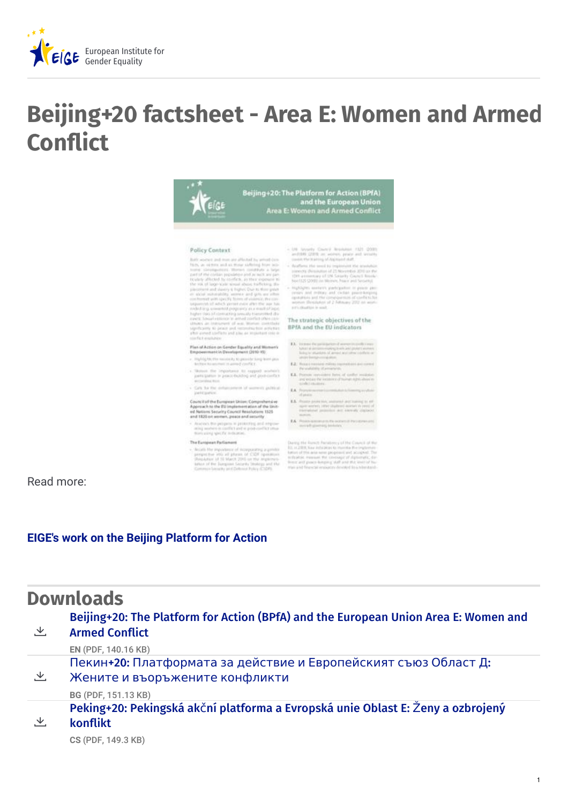

## **Beijing+20 factsheet - Area E: Women and Armed Conflict**



Read more:

## **EIGE's work on the Beijing [Platform](https://eige.europa.eu/content/activities/beijing-platform-for-action) for Action**

|   | <b>Downloads</b>                                                                                             |
|---|--------------------------------------------------------------------------------------------------------------|
| 飞 | Beijing+20: The Platform for Action (BPfA) and the European Union Area E: Women and<br><b>Armed Conflict</b> |
|   | EN (PDF, 140.16 KB)                                                                                          |
| と | Пекин+20: Платформата за действие и Европейският съюз Област Д:                                              |
|   | Жените и въоръжените конфликти                                                                               |
|   | BG (PDF, 151.13 KB)                                                                                          |
|   | Peking+20: Pekingská akční platforma a Evropská unie Oblast E: Ženy a ozbrojený                              |
| 飞 | konflikt                                                                                                     |
|   | CS (PDF, 149.3 KB)                                                                                           |

1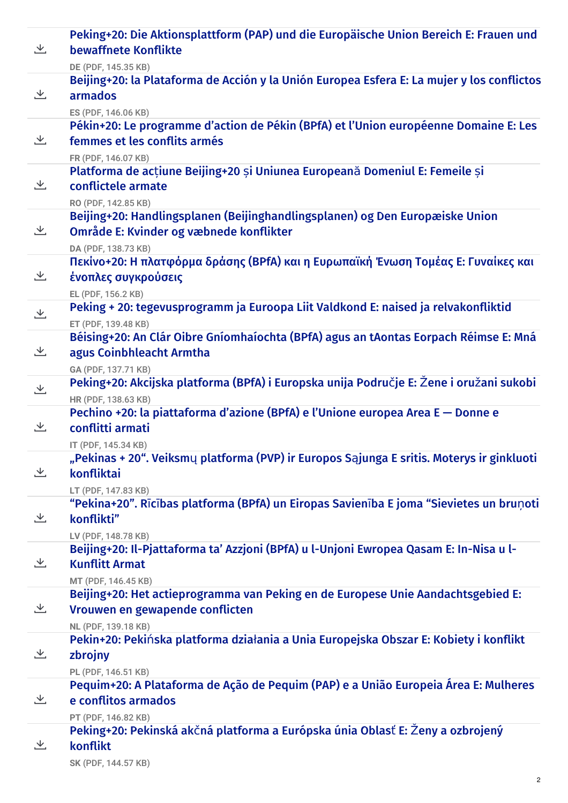| 飞 | Peking+20: Die Aktionsplattform (PAP) und die Europäische Union Bereich E: Frauen und<br>bewaffnete Konflikte                                                         |
|---|-----------------------------------------------------------------------------------------------------------------------------------------------------------------------|
| と | DE (PDF, 145.35 KB)<br>Beijing+20: la Plataforma de Acción y la Unión Europea Esfera E: La mujer y los conflictos                                                     |
|   | armados<br>ES (PDF, 146.06 KB)                                                                                                                                        |
| と | Pékin+20: Le programme d'action de Pékin (BPfA) et l'Union européenne Domaine E: Les<br>femmes et les conflits armés<br>FR (PDF, 146.07 KB)                           |
| 飞 | Platforma de acțiune Beijing+20 și Uniunea Europeană Domeniul E: Femeile și<br>conflictele armate                                                                     |
| と | RO (PDF, 142.85 KB)<br>Beijing+20: Handlingsplanen (Beijinghandlingsplanen) og Den Europæiske Union<br>Område E: Kvinder og væbnede konflikter<br>DA (PDF, 138.73 KB) |
| 飞 | Πεκίνο+20: Η πλατφόρμα δράσης (BPfA) και η Ευρωπαϊκή Ένωση Τομέας Ε: Γυναίκες και<br>ένοπλες συγκρούσεις                                                              |
| と | EL (PDF, 156.2 KB)<br>Peking + 20: tegevusprogramm ja Euroopa Liit Valdkond E: naised ja relvakonfliktid<br>ET (PDF, 139.48 KB)                                       |
| と | Béising+20: An Clár Oibre Gníomhaíochta (BPfA) agus an tAontas Eorpach Réimse E: Mná<br>agus Coinbhleacht Armtha<br>GA (PDF, 137.71 KB)                               |
| と | Peking+20: Akcijska platforma (BPfA) i Europska unija Područje E: Žene i oružani sukobi<br>HR (PDF, 138.63 KB)                                                        |
| と | Pechino +20: la piattaforma d'azione (BPfA) e l'Unione europea Area E – Donne e<br>conflitti armati<br>IT (PDF, 145.34 KB)                                            |
| 飞 | "Pekinas + 20". Veiksmų platforma (PVP) ir Europos Sąjunga E sritis. Moterys ir ginkluoti<br>konfliktai                                                               |
| と | LT (PDF, 147.83 KB)<br>"Pekina+20". Rīcības platforma (BPfA) un Eiropas Savienība E joma "Sievietes un bruņoti<br>konflikti"                                          |
| 乄 | LV (PDF, 148.78 KB)<br>Beijing+20: Il-Pjattaforma ta' Azzjoni (BPfA) u l-Unjoni Ewropea Qasam E: In-Nisa u l-<br><b>Kunflitt Armat</b>                                |
| と | MT (PDF, 146.45 KB)<br>Beijing+20: Het actieprogramma van Peking en de Europese Unie Aandachtsgebied E:<br>Vrouwen en gewapende conflicten<br>NL (PDF, 139.18 KB)     |
| 乄 | Pekin+20: Pekińska platforma działania a Unia Europejska Obszar E: Kobiety i konflikt<br>zbrojny                                                                      |
| と | PL (PDF, 146.51 KB)<br>Pequim+20: A Plataforma de Ação de Pequim (PAP) e a União Europeia Área E: Mulheres<br>e conflitos armados                                     |
| 芝 | PT (PDF, 146.82 KB)<br>Peking+20: Pekinská akčná platforma a Európska únia Oblasť E: Ženy a ozbrojený<br>konflikt                                                     |